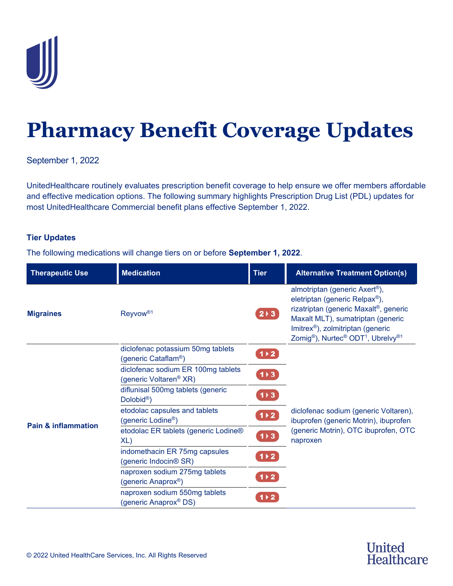

## **Pharmacy Benefit Coverage Updates**

September 1, 2022

UnitedHealthcare routinely evaluates prescription benefit coverage to help ensure we offer members affordable and effective medication options. The following summary highlights Prescription Drug List (PDL) updates for most UnitedHealthcare Commercial benefit plans effective September 1, 2022.

## **Tier Updates**

The following medications will change tiers on or before **September 1, 2022**.

| <b>Therapeutic Use</b>         | <b>Medication</b>                                                        | <b>Tier</b>          | <b>Alternative Treatment Option(s)</b>                                                                                                                                                                                                                                                                        |
|--------------------------------|--------------------------------------------------------------------------|----------------------|---------------------------------------------------------------------------------------------------------------------------------------------------------------------------------------------------------------------------------------------------------------------------------------------------------------|
| <b>Migraines</b>               | Reyvow <sup>®1</sup>                                                     | $2 \times 3$         | almotriptan (generic Axert <sup>®</sup> ),<br>eletriptan (generic Relpax <sup>®</sup> ),<br>rizatriptan (generic Maxalt®, generic<br>Maxalt MLT), sumatriptan (generic<br>Imitrex <sup>®</sup> ), zolmitriptan (generic<br>Zomig <sup>®</sup> ), Nurtec <sup>®</sup> ODT <sup>1</sup> , Ubrelvy <sup>®1</sup> |
| <b>Pain &amp; inflammation</b> | diclofenac potassium 50mg tablets<br>(generic Cataflam <sup>®</sup> )    | $1 \times 2$         |                                                                                                                                                                                                                                                                                                               |
|                                | diclofenac sodium ER 100mg tablets<br>(generic Voltaren <sup>®</sup> XR) | 1)3                  |                                                                                                                                                                                                                                                                                                               |
|                                | diflunisal 500mg tablets (generic<br>Dolobid <sup>®</sup> )              | 1)3                  |                                                                                                                                                                                                                                                                                                               |
|                                | etodolac capsules and tablets<br>(generic Lodine <sup>®</sup> )          | 1)2                  | diclofenac sodium (generic Voltaren),<br>ibuprofen (generic Motrin), ibuprofen                                                                                                                                                                                                                                |
|                                | etodolac ER tablets (generic Lodine®<br>XL)                              | $1 \rightarrow 3$    | (generic Motrin), OTC ibuprofen, OTC<br>naproxen                                                                                                                                                                                                                                                              |
|                                | indomethacin ER 75mg capsules<br>(generic Indocin® SR)                   | $1 \times 2$         |                                                                                                                                                                                                                                                                                                               |
|                                | naproxen sodium 275mg tablets<br>(generic Anaprox <sup>®</sup> )         | $1 \triangleright 2$ |                                                                                                                                                                                                                                                                                                               |
|                                | naproxen sodium 550mg tablets<br>(generic Anaprox <sup>®</sup> DS)       | $1 \times 2$         |                                                                                                                                                                                                                                                                                                               |

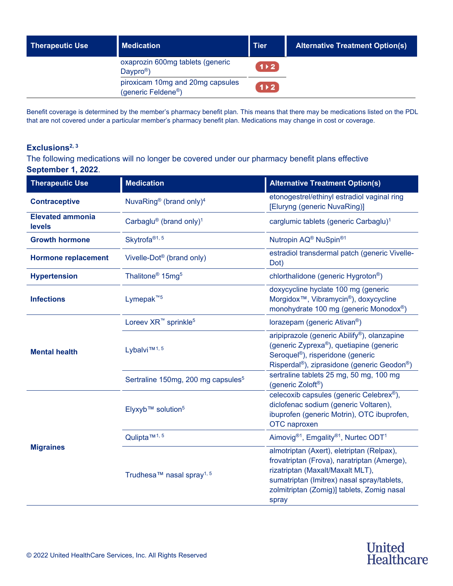| <b>Therapeutic Use</b> | <b>Medication</b>                                                   | <b>Tier</b>  | <b>Alternative Treatment Option(s)</b> |
|------------------------|---------------------------------------------------------------------|--------------|----------------------------------------|
|                        | oxaprozin 600mg tablets (generic<br>Daypro <sup>®</sup> )           | $1 \times 2$ |                                        |
|                        | piroxicam 10mg and 20mg capsules<br>(generic Feldene <sup>®</sup> ) | $1 \times 2$ |                                        |

Benefit coverage is determined by the member's pharmacy benefit plan. This means that there may be medications listed on the PDL that are not covered under a particular member's pharmacy benefit plan. Medications may change in cost or coverage.

## **Exclusions2, 3**

The following medications will no longer be covered under our pharmacy benefit plans effective **September 1, 2022**.

| <b>Therapeutic Use</b>                   | <b>Medication</b>                               | <b>Alternative Treatment Option(s)</b>                                                                                                                                                                                            |
|------------------------------------------|-------------------------------------------------|-----------------------------------------------------------------------------------------------------------------------------------------------------------------------------------------------------------------------------------|
| <b>Contraceptive</b>                     | NuvaRing <sup>®</sup> (brand only) <sup>4</sup> | etonogestrel/ethinyl estradiol vaginal ring<br>[Eluryng (generic NuvaRing)]                                                                                                                                                       |
| <b>Elevated ammonia</b><br><b>levels</b> | Carbaglu® (brand only) <sup>1</sup>             | carglumic tablets (generic Carbaglu) <sup>1</sup>                                                                                                                                                                                 |
| <b>Growth hormone</b>                    | Skytrofa <sup>®1,5</sup>                        | Nutropin AQ <sup>®</sup> NuSpin <sup>®1</sup>                                                                                                                                                                                     |
| <b>Hormone replacement</b>               | Vivelle-Dot <sup>®</sup> (brand only)           | estradiol transdermal patch (generic Vivelle-<br>Dot)                                                                                                                                                                             |
| <b>Hypertension</b>                      | Thalitone <sup>®</sup> 15mg <sup>5</sup>        | chlorthalidone (generic Hygroton <sup>®</sup> )                                                                                                                                                                                   |
| <b>Infections</b>                        | Lymepak <sup>™5</sup>                           | doxycycline hyclate 100 mg (generic<br>Morgidox <sup>™</sup> , Vibramycin <sup>®</sup> ), doxycycline<br>monohydrate 100 mg (generic Monodox®)                                                                                    |
| <b>Mental health</b>                     | Loreev XR <sup>™</sup> sprinkle <sup>5</sup>    | lorazepam (generic Ativan <sup>®</sup> )                                                                                                                                                                                          |
|                                          | Lybalvi <sup>TM1,5</sup>                        | aripiprazole (generic Abilify®), olanzapine<br>(generic Zyprexa <sup>®</sup> ), quetiapine (generic<br>Seroquel <sup>®</sup> ), risperidone (generic<br>Risperdal <sup>®</sup> ), ziprasidone (generic Geodon <sup>®</sup> )      |
|                                          | Sertraline 150mg, 200 mg capsules <sup>5</sup>  | sertraline tablets 25 mg, 50 mg, 100 mg<br>(generic Zoloft <sup>®</sup> )                                                                                                                                                         |
| <b>Migraines</b>                         | Elyxyb <sup>™</sup> solution <sup>5</sup>       | celecoxib capsules (generic Celebrex®),<br>diclofenac sodium (generic Voltaren),<br>ibuprofen (generic Motrin), OTC ibuprofen,<br>OTC naproxen                                                                                    |
|                                          | Qulipta <sup>™1,5</sup>                         | Aimovig <sup>®1</sup> , Emgality <sup>®1</sup> , Nurtec ODT <sup>1</sup>                                                                                                                                                          |
|                                          | Trudhesa™ nasal spray <sup>1,5</sup>            | almotriptan (Axert), eletriptan (Relpax),<br>frovatriptan (Frova), naratriptan (Amerge),<br>rizatriptan (Maxalt/Maxalt MLT),<br>sumatriptan (Imitrex) nasal spray/tablets,<br>zolmitriptan (Zomig)] tablets, Zomig nasal<br>spray |